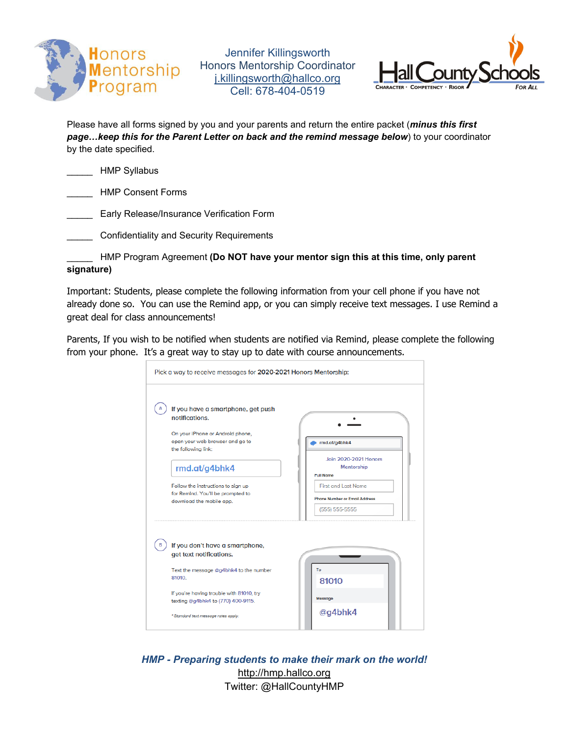

Jennifer Killingsworth Honors Mentorship Coordinator j.killingsworth@hallco.org Cell: 678-404-0519



Please have all forms signed by you and your parents and return the entire packet (*minus this first page…keep this for the Parent Letter on back and the remind message below*) to your coordinator by the date specified.

|  | <b>HMP Syllabus</b> |
|--|---------------------|
|  |                     |

\_\_\_\_\_ HMP Consent Forms

Early Release/Insurance Verification Form

\_\_\_\_\_ Confidentiality and Security Requirements

\_\_\_\_\_ HMP Program Agreement **(Do NOT have your mentor sign this at this time, only parent signature)** 

Important: Students, please complete the following information from your cell phone if you have not already done so. You can use the Remind app, or you can simply receive text messages. I use Remind a great deal for class announcements!

Parents, If you wish to be notified when students are notified via Remind, please complete the following from your phone. It's a great way to stay up to date with course announcements.

| If you have a smartphone, get push                            |                                      |
|---------------------------------------------------------------|--------------------------------------|
| notifications.                                                |                                      |
| On your iPhone or Android phone,                              |                                      |
| open your web browser and go to<br>the following link:        | rmd.at/g4bhk4                        |
|                                                               | <b>Join 2020-2021 Honors</b>         |
| rmd.at/g4bhk4                                                 | <b>Mentorship</b>                    |
|                                                               | <b>Full Name</b>                     |
| Follow the instructions to sign up                            | <b>First and Last Name</b>           |
| for Remind. You'll be prompted to<br>download the mobile app. | <b>Phone Number or Email Address</b> |
|                                                               | $(555) 555-5555$                     |
|                                                               |                                      |
|                                                               |                                      |
| If you don't have a smartphone,                               |                                      |
| get text notifications.                                       |                                      |
| Text the message @g4bhk4 to the number                        | To                                   |
| 81010                                                         | 81010                                |
| If you're having trouble with 81010, try                      |                                      |
| texting @g4bhk4 to (770) 400-9115.                            | Message                              |

*HMP - Preparing students to make their mark on the world!* http://hmp.hallco.org Twitter: @HallCountyHMP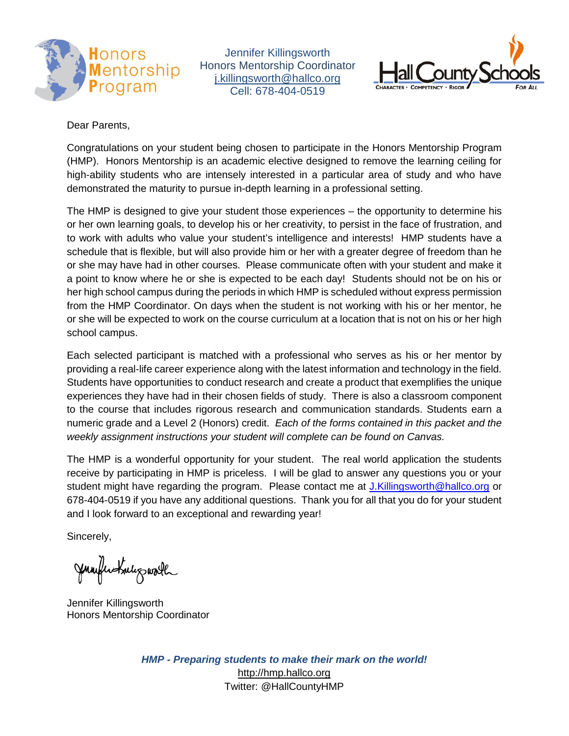

Jennifer Killingsworth Honors Mentorship Coordinator [j.killingsworth@hallco.org](mailto:j.killingsworth@hallco.org) Cell: 678-404-0519



Dear Parents,

Congratulations on your student being chosen to participate in the Honors Mentorship Program (HMP). Honors Mentorship is an academic elective designed to remove the learning ceiling for high-ability students who are intensely interested in a particular area of study and who have demonstrated the maturity to pursue in-depth learning in a professional setting.

The HMP is designed to give your student those experiences – the opportunity to determine his or her own learning goals, to develop his or her creativity, to persist in the face of frustration, and to work with adults who value your student's intelligence and interests! HMP students have a schedule that is flexible, but will also provide him or her with a greater degree of freedom than he or she may have had in other courses. Please communicate often with your student and make it a point to know where he or she is expected to be each day! Students should not be on his or her high school campus during the periods in which HMP is scheduled without express permission from the HMP Coordinator. On days when the student is not working with his or her mentor, he or she will be expected to work on the course curriculum at a location that is not on his or her high school campus.

Each selected participant is matched with a professional who serves as his or her mentor by providing a real-life career experience along with the latest information and technology in the field. Students have opportunities to conduct research and create a product that exemplifies the unique experiences they have had in their chosen fields of study. There is also a classroom component to the course that includes rigorous research and communication standards. Students earn a numeric grade and a Level 2 (Honors) credit. *Each of the forms contained in this packet and the weekly assignment instructions your student will complete can be found on Canvas.* 

The HMP is a wonderful opportunity for your student. The real world application the students receive by participating in HMP is priceless. I will be glad to answer any questions you or your student might have regarding the program. Please contact me at [J.Killingsworth@hallco.org](mailto:J.Killingsworth@hallco.org) or 678-404-0519 if you have any additional questions. Thank you for all that you do for your student and I look forward to an exceptional and rewarding year!

Sincerely,

Jumflertule gwoll

Jennifer Killingsworth Honors Mentorship Coordinator

*HMP - Preparing students to make their mark on the world!* [http://hmp.hallco.org](http://hmp.hallco.org/) Twitter: @HallCountyHMP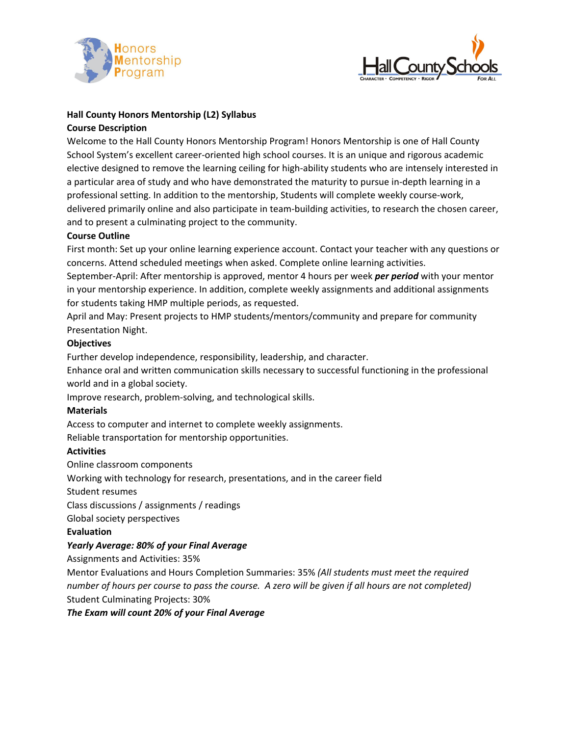



#### **Hall County Honors Mentorship (L2) Syllabus Course Description**

Welcome to the Hall County Honors Mentorship Program! Honors Mentorship is one of Hall County School System's excellent career‐oriented high school courses. It is an unique and rigorous academic elective designed to remove the learning ceiling for high‐ability students who are intensely interested in a particular area of study and who have demonstrated the maturity to pursue in‐depth learning in a professional setting. In addition to the mentorship, Students will complete weekly course-work, delivered primarily online and also participate in team-building activities, to research the chosen career, and to present a culminating project to the community.

#### **Course Outline**

First month: Set up your online learning experience account. Contact your teacher with any questions or concerns. Attend scheduled meetings when asked. Complete online learning activities.

September‐April: After mentorship is approved, mentor 4 hours per week *per period* with your mentor in your mentorship experience. In addition, complete weekly assignments and additional assignments for students taking HMP multiple periods, as requested.

April and May: Present projects to HMP students/mentors/community and prepare for community Presentation Night.

#### **Objectives**

Further develop independence, responsibility, leadership, and character.

Enhance oral and written communication skills necessary to successful functioning in the professional world and in a global society.

Improve research, problem‐solving, and technological skills.

#### **Materials**

Access to computer and internet to complete weekly assignments.

Reliable transportation for mentorship opportunities.

#### **Activities**

Online classroom components

Working with technology for research, presentations, and in the career field

Student resumes

Class discussions / assignments / readings

Global society perspectives

**Evaluation** 

#### *Yearly Average: 80% of your Final Average*

Assignments and Activities: 35%

Mentor Evaluations and Hours Completion Summaries: 35% *(All students must meet the required number of hours per course to pass the course. A zero will be given if all hours are not completed)* Student Culminating Projects: 30%

*The Exam will count 20% of your Final Average*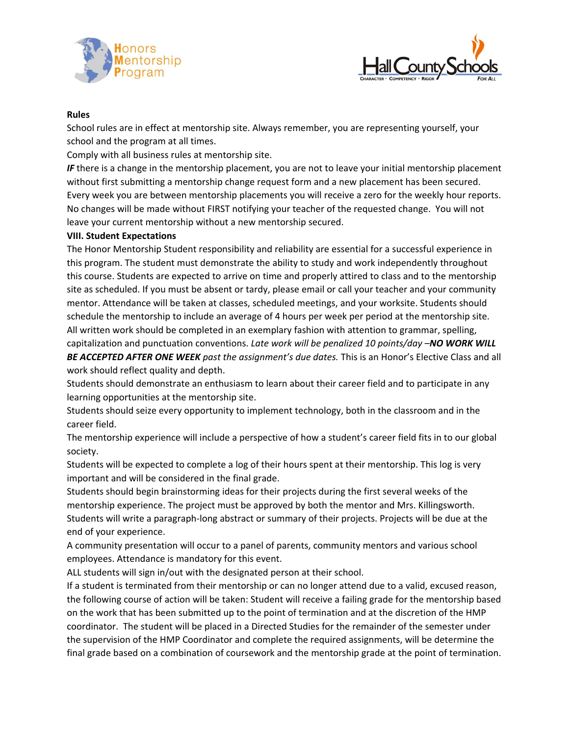



#### **Rules**

School rules are in effect at mentorship site. Always remember, you are representing yourself, your school and the program at all times.

Comply with all business rules at mentorship site.

*IF* there is a change in the mentorship placement, you are not to leave your initial mentorship placement without first submitting a mentorship change request form and a new placement has been secured. Every week you are between mentorship placements you will receive a zero for the weekly hour reports. No changes will be made without FIRST notifying your teacher of the requested change. You will not leave your current mentorship without a new mentorship secured.

#### **VIII. Student Expectations**

The Honor Mentorship Student responsibility and reliability are essential for a successful experience in this program. The student must demonstrate the ability to study and work independently throughout this course. Students are expected to arrive on time and properly attired to class and to the mentorship site as scheduled. If you must be absent or tardy, please email or call your teacher and your community mentor. Attendance will be taken at classes, scheduled meetings, and your worksite. Students should schedule the mentorship to include an average of 4 hours per week per period at the mentorship site. All written work should be completed in an exemplary fashion with attention to grammar, spelling, capitalization and punctuation conventions. *Late work will be penalized 10 points/day –NO WORK WILL BE ACCEPTED AFTER ONE WEEK past the assignment's due dates.* This is an Honor's Elective Class and all work should reflect quality and depth.

Students should demonstrate an enthusiasm to learn about their career field and to participate in any learning opportunities at the mentorship site.

Students should seize every opportunity to implement technology, both in the classroom and in the career field.

The mentorship experience will include a perspective of how a student's career field fits in to our global society.

Students will be expected to complete a log of their hours spent at their mentorship. This log is very important and will be considered in the final grade.

Students should begin brainstorming ideas for their projects during the first several weeks of the mentorship experience. The project must be approved by both the mentor and Mrs. Killingsworth. Students will write a paragraph‐long abstract or summary of their projects. Projects will be due at the end of your experience.

A community presentation will occur to a panel of parents, community mentors and various school employees. Attendance is mandatory for this event.

ALL students will sign in/out with the designated person at their school.

If a student is terminated from their mentorship or can no longer attend due to a valid, excused reason, the following course of action will be taken: Student will receive a failing grade for the mentorship based on the work that has been submitted up to the point of termination and at the discretion of the HMP coordinator. The student will be placed in a Directed Studies for the remainder of the semester under the supervision of the HMP Coordinator and complete the required assignments, will be determine the final grade based on a combination of coursework and the mentorship grade at the point of termination.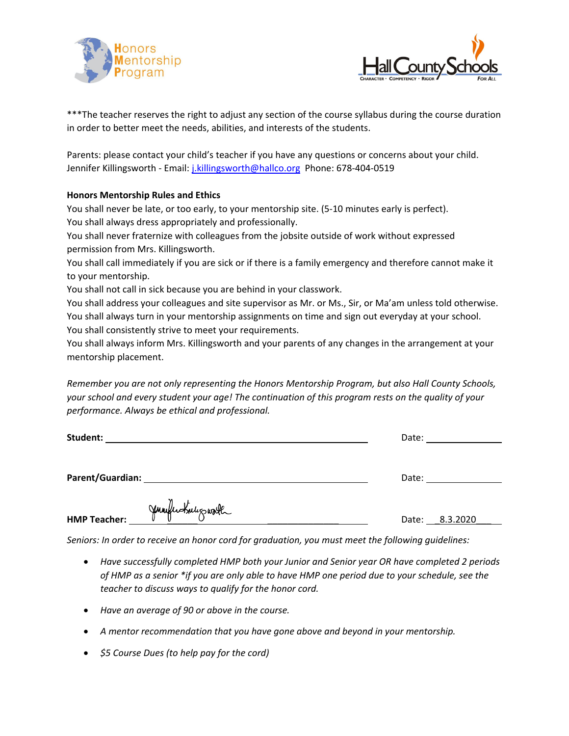



\*\*\*The teacher reserves the right to adjust any section of the course syllabus during the course duration in order to better meet the needs, abilities, and interests of the students.

Parents: please contact your child's teacher if you have any questions or concerns about your child. Jennifer Killingsworth - Email: j.killingsworth@hallco.org Phone: 678-404-0519

#### **Honors Mentorship Rules and Ethics**

You shall never be late, or too early, to your mentorship site. (5‐10 minutes early is perfect). You shall always dress appropriately and professionally.

You shall never fraternize with colleagues from the jobsite outside of work without expressed permission from Mrs. Killingsworth.

You shall call immediately if you are sick or if there is a family emergency and therefore cannot make it to your mentorship.

You shall not call in sick because you are behind in your classwork.

You shall address your colleagues and site supervisor as Mr. or Ms., Sir, or Ma'am unless told otherwise. You shall always turn in your mentorship assignments on time and sign out everyday at your school. You shall consistently strive to meet your requirements.

You shall always inform Mrs. Killingsworth and your parents of any changes in the arrangement at your mentorship placement.

*Remember you are not only representing the Honors Mentorship Program, but also Hall County Schools, your school and every student your age! The continuation of this program rests on the quality of your performance. Always be ethical and professional.*

| Student:         |                   | Date: |                |
|------------------|-------------------|-------|----------------|
| Parent/Guardian: |                   | Date: |                |
| HMP Teacher:     | Jumperstale garth |       | Date: 8.3.2020 |

*Seniors: In order to receive an honor cord for graduation, you must meet the following guidelines:* 

- *Have successfully completed HMP both your Junior and Senior year OR have completed 2 periods of HMP as a senior \*if you are only able to have HMP one period due to your schedule, see the teacher to discuss ways to qualify for the honor cord.*
- *Have an average of 90 or above in the course.*
- *A mentor recommendation that you have gone above and beyond in your mentorship.*
- *\$5 Course Dues (to help pay for the cord)*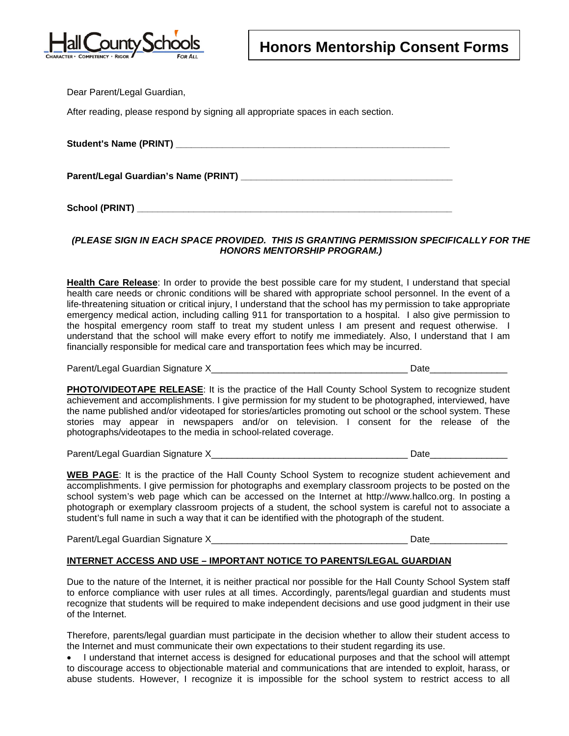

Dear Parent/Legal Guardian,

After reading, please respond by signing all appropriate spaces in each section.

#### *(PLEASE SIGN IN EACH SPACE PROVIDED. THIS IS GRANTING PERMISSION SPECIFICALLY FOR THE HONORS MENTORSHIP PROGRAM.)*

**Health Care Release**: In order to provide the best possible care for my student, I understand that special health care needs or chronic conditions will be shared with appropriate school personnel. In the event of a life-threatening situation or critical injury, I understand that the school has my permission to take appropriate emergency medical action, including calling 911 for transportation to a hospital. I also give permission to the hospital emergency room staff to treat my student unless I am present and request otherwise. I understand that the school will make every effort to notify me immediately. Also, I understand that I am financially responsible for medical care and transportation fees which may be incurred.

Parent/Legal Guardian Signature X\_\_\_\_\_\_\_\_\_\_\_\_\_\_\_\_\_\_\_\_\_\_\_\_\_\_\_\_\_\_\_\_\_\_\_\_\_\_ Date\_\_\_\_\_\_\_\_\_\_\_\_\_\_\_

**PHOTO/VIDEOTAPE RELEASE**: It is the practice of the Hall County School System to recognize student achievement and accomplishments. I give permission for my student to be photographed, interviewed, have the name published and/or videotaped for stories/articles promoting out school or the school system. These stories may appear in newspapers and/or on television. I consent for the release of the photographs/videotapes to the media in school-related coverage.

Parent/Legal Guardian Signature X\_\_\_\_\_\_\_\_\_\_\_\_\_\_\_\_\_\_\_\_\_\_\_\_\_\_\_\_\_\_\_\_\_\_\_\_\_\_ Date\_\_\_\_\_\_\_\_\_\_\_\_\_\_\_

**WEB PAGE**: It is the practice of the Hall County School System to recognize student achievement and accomplishments. I give permission for photographs and exemplary classroom projects to be posted on the school system's web page which can be accessed on the Internet at http://www.hallco.org. In posting a photograph or exemplary classroom projects of a student, the school system is careful not to associate a student's full name in such a way that it can be identified with the photograph of the student.

Parent/Legal Guardian Signature X<br>
and the state of the state of the state of the state of the state of the state of the state of the state of the state of the state of the state of the state of the state of the state of t

#### **INTERNET ACCESS AND USE – IMPORTANT NOTICE TO PARENTS/LEGAL GUARDIAN**

Due to the nature of the Internet, it is neither practical nor possible for the Hall County School System staff to enforce compliance with user rules at all times. Accordingly, parents/legal guardian and students must recognize that students will be required to make independent decisions and use good judgment in their use of the Internet.

Therefore, parents/legal guardian must participate in the decision whether to allow their student access to the Internet and must communicate their own expectations to their student regarding its use.

• I understand that internet access is designed for educational purposes and that the school will attempt to discourage access to objectionable material and communications that are intended to exploit, harass, or abuse students. However, I recognize it is impossible for the school system to restrict access to all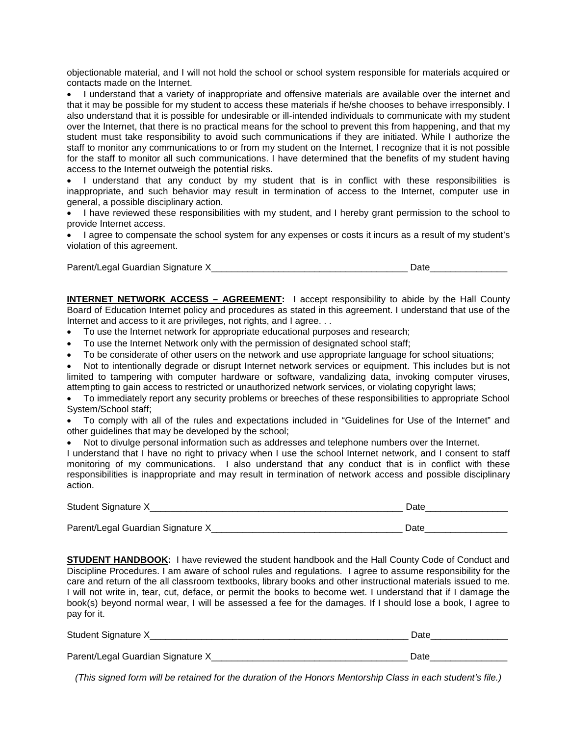objectionable material, and I will not hold the school or school system responsible for materials acquired or contacts made on the Internet.

• I understand that a variety of inappropriate and offensive materials are available over the internet and that it may be possible for my student to access these materials if he/she chooses to behave irresponsibly. I also understand that it is possible for undesirable or ill-intended individuals to communicate with my student over the Internet, that there is no practical means for the school to prevent this from happening, and that my student must take responsibility to avoid such communications if they are initiated. While I authorize the staff to monitor any communications to or from my student on the Internet, I recognize that it is not possible for the staff to monitor all such communications. I have determined that the benefits of my student having access to the Internet outweigh the potential risks.

• I understand that any conduct by my student that is in conflict with these responsibilities is inappropriate, and such behavior may result in termination of access to the Internet, computer use in general, a possible disciplinary action.

• I have reviewed these responsibilities with my student, and I hereby grant permission to the school to provide Internet access.

• I agree to compensate the school system for any expenses or costs it incurs as a result of my student's violation of this agreement.

Parent/Legal Guardian Signature X\_\_\_\_\_\_\_\_\_\_\_\_\_\_\_\_\_\_\_\_\_\_\_\_\_\_\_\_\_\_\_\_\_\_\_\_\_\_ Date\_\_\_\_\_\_\_\_\_\_\_\_\_\_\_

**INTERNET NETWORK ACCESS - AGREEMENT:** I accept responsibility to abide by the Hall County Board of Education Internet policy and procedures as stated in this agreement. I understand that use of the Internet and access to it are privileges, not rights, and I agree. . .

- To use the Internet network for appropriate educational purposes and research;
- To use the Internet Network only with the permission of designated school staff;
- To be considerate of other users on the network and use appropriate language for school situations;

• Not to intentionally degrade or disrupt Internet network services or equipment. This includes but is not limited to tampering with computer hardware or software, vandalizing data, invoking computer viruses, attempting to gain access to restricted or unauthorized network services, or violating copyright laws;

• To immediately report any security problems or breeches of these responsibilities to appropriate School System/School staff;

• To comply with all of the rules and expectations included in "Guidelines for Use of the Internet" and other guidelines that may be developed by the school;

• Not to divulge personal information such as addresses and telephone numbers over the Internet.

I understand that I have no right to privacy when I use the school Internet network, and I consent to staff monitoring of my communications. I also understand that any conduct that is in conflict with these responsibilities is inappropriate and may result in termination of network access and possible disciplinary action.

| Student Signature X               | Jate |
|-----------------------------------|------|
|                                   |      |
| Parent/Legal Guardian Signature X | Date |

**STUDENT HANDBOOK:** I have reviewed the student handbook and the Hall County Code of Conduct and Discipline Procedures. I am aware of school rules and regulations. I agree to assume responsibility for the care and return of the all classroom textbooks, library books and other instructional materials issued to me. I will not write in, tear, cut, deface, or permit the books to become wet. I understand that if I damage the book(s) beyond normal wear, I will be assessed a fee for the damages. If I should lose a book, I agree to pay for it.

| Student Signature X               | )ate |
|-----------------------------------|------|
|                                   |      |
| Parent/Legal Guardian Signature X |      |

*(This signed form will be retained for the duration of the Honors Mentorship Class in each student's file.)*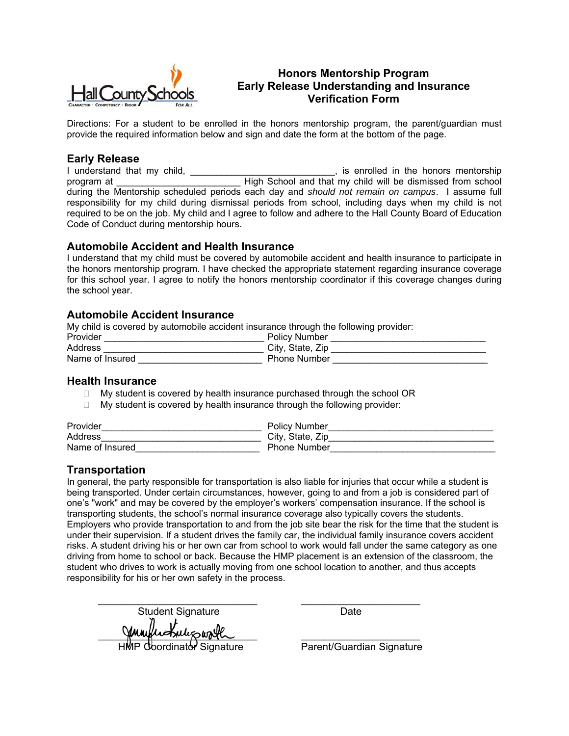

## **Honors Mentorship Program Early Release Understanding and Insurance Verification Form**

Directions: For a student to be enrolled in the honors mentorship program, the parent/guardian must provide the required information below and sign and date the form at the bottom of the page.

#### **Early Release**

I understand that my child, the state of the state of the state of the honors mentorship program at **High School and that my child will be dismissed from school** during the Mentorship scheduled periods each day and *should not remain on campus*. I assume full responsibility for my child during dismissal periods from school, including days when my child is not required to be on the job. My child and I agree to follow and adhere to the Hall County Board of Education Code of Conduct during mentorship hours.

#### **Automobile Accident and Health Insurance**

I understand that my child must be covered by automobile accident and health insurance to participate in the honors mentorship program. I have checked the appropriate statement regarding insurance coverage for this school year. I agree to notify the honors mentorship coordinator if this coverage changes during the school year.

#### **Automobile Accident Insurance**

My child is covered by automobile accident insurance through the following provider:

| Provider        | <b>Policy Number</b> |
|-----------------|----------------------|
| Address         | City, State, Zip     |
| Name of Insured | <b>Phone Number</b>  |

#### **Health Insurance**

- $\Box$  My student is covered by health insurance purchased through the school OR
- $\Box$  My student is covered by health insurance through the following provider:

| Provider        | <b>Policy Number</b> |
|-----------------|----------------------|
| Address         | City, State, Zip     |
| Name of Insured | <b>Phone Number</b>  |

### **Transportation**

In general, the party responsible for transportation is also liable for injuries that occur while a student is being transported. Under certain circumstances, however, going to and from a job is considered part of one's "work" and may be covered by the employer's workers' compensation insurance. If the school is transporting students, the school's normal insurance coverage also typically covers the students. Employers who provide transportation to and from the job site bear the risk for the time that the student is under their supervision. If a student drives the family car, the individual family insurance covers accident risks. A student driving his or her own car from school to work would fall under the same category as one driving from home to school or back. Because the HMP placement is an extension of the classroom, the student who drives to work is actually moving from one school location to another, and thus accepts responsibility for his or her own safety in the process.

 \_\_\_\_\_\_\_\_\_\_\_\_\_\_\_\_\_\_\_\_\_\_\_\_\_\_\_\_ \_\_\_\_\_\_\_\_\_\_\_\_\_\_\_\_\_\_\_\_\_ Student Signature Date Jumpin Friliz worth

Parent/Guardian Signature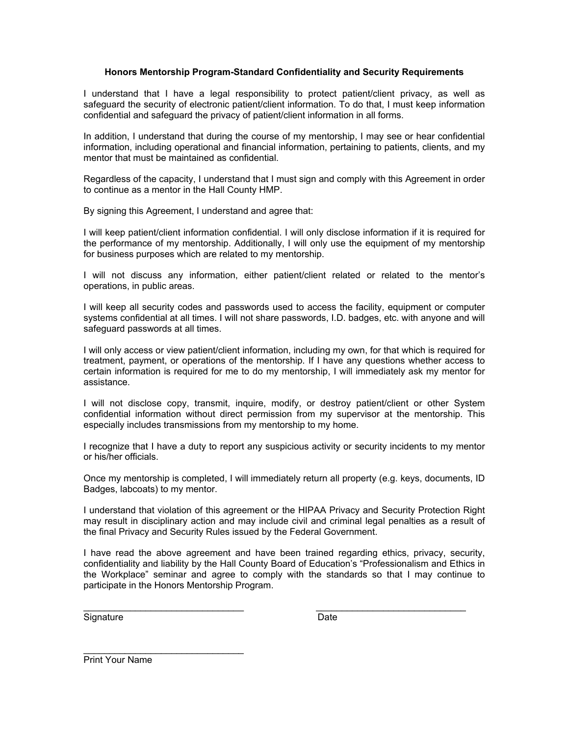#### **Honors Mentorship Program-Standard Confidentiality and Security Requirements**

I understand that I have a legal responsibility to protect patient/client privacy, as well as safeguard the security of electronic patient/client information. To do that, I must keep information confidential and safeguard the privacy of patient/client information in all forms.

In addition, I understand that during the course of my mentorship, I may see or hear confidential information, including operational and financial information, pertaining to patients, clients, and my mentor that must be maintained as confidential.

Regardless of the capacity, I understand that I must sign and comply with this Agreement in order to continue as a mentor in the Hall County HMP.

By signing this Agreement, I understand and agree that:

I will keep patient/client information confidential. I will only disclose information if it is required for the performance of my mentorship. Additionally, I will only use the equipment of my mentorship for business purposes which are related to my mentorship.

I will not discuss any information, either patient/client related or related to the mentor's operations, in public areas.

I will keep all security codes and passwords used to access the facility, equipment or computer systems confidential at all times. I will not share passwords, I.D. badges, etc. with anyone and will safeguard passwords at all times.

I will only access or view patient/client information, including my own, for that which is required for treatment, payment, or operations of the mentorship. If I have any questions whether access to certain information is required for me to do my mentorship, I will immediately ask my mentor for assistance.

I will not disclose copy, transmit, inquire, modify, or destroy patient/client or other System confidential information without direct permission from my supervisor at the mentorship. This especially includes transmissions from my mentorship to my home.

I recognize that I have a duty to report any suspicious activity or security incidents to my mentor or his/her officials.

Once my mentorship is completed, I will immediately return all property (e.g. keys, documents, ID Badges, labcoats) to my mentor.

I understand that violation of this agreement or the HIPAA Privacy and Security Protection Right may result in disciplinary action and may include civil and criminal legal penalties as a result of the final Privacy and Security Rules issued by the Federal Government.

I have read the above agreement and have been trained regarding ethics, privacy, security, confidentiality and liability by the Hall County Board of Education's "Professionalism and Ethics in the Workplace" seminar and agree to comply with the standards so that I may continue to participate in the Honors Mentorship Program.

 $\mathcal{L}_\text{max}$  , and the contribution of the contribution of the contribution of the contribution of the contribution of the contribution of the contribution of the contribution of the contribution of the contribution of t

Signature Date **Date** 

Print Your Name

\_\_\_\_\_\_\_\_\_\_\_\_\_\_\_\_\_\_\_\_\_\_\_\_\_\_\_\_\_\_\_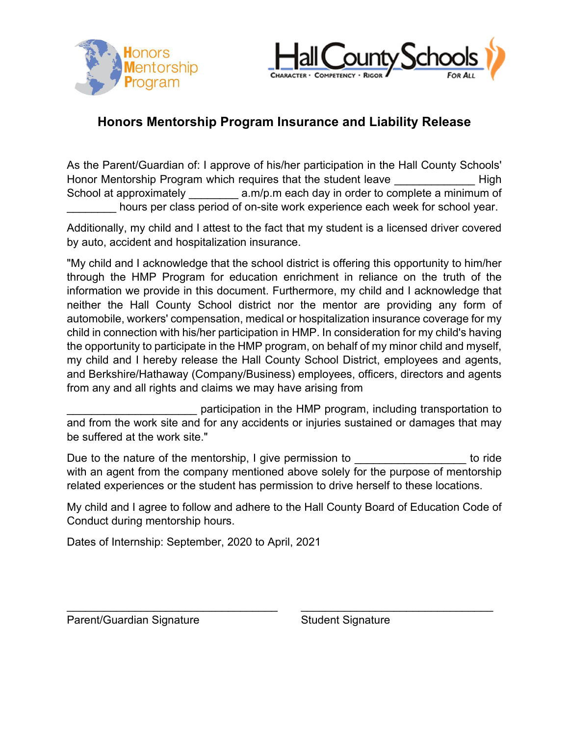



## **Honors Mentorship Program Insurance and Liability Release**

As the Parent/Guardian of: I approve of his/her participation in the Hall County Schools' Honor Mentorship Program which requires that the student leave Theorem High School at approximately \_\_\_\_\_\_\_\_ a.m/p.m each day in order to complete a minimum of \_\_\_\_\_\_\_\_ hours per class period of on-site work experience each week for school year.

Additionally, my child and I attest to the fact that my student is a licensed driver covered by auto, accident and hospitalization insurance.

"My child and I acknowledge that the school district is offering this opportunity to him/her through the HMP Program for education enrichment in reliance on the truth of the information we provide in this document. Furthermore, my child and I acknowledge that neither the Hall County School district nor the mentor are providing any form of automobile, workers' compensation, medical or hospitalization insurance coverage for my child in connection with his/her participation in HMP. In consideration for my child's having the opportunity to participate in the HMP program, on behalf of my minor child and myself, my child and I hereby release the Hall County School District, employees and agents, and Berkshire/Hathaway (Company/Business) employees, officers, directors and agents from any and all rights and claims we may have arising from

participation in the HMP program, including transportation to and from the work site and for any accidents or injuries sustained or damages that may be suffered at the work site."

Due to the nature of the mentorship, I give permission to \_\_\_\_\_\_\_\_\_\_\_\_\_\_\_\_\_\_\_\_\_\_ to ride with an agent from the company mentioned above solely for the purpose of mentorship related experiences or the student has permission to drive herself to these locations.

My child and I agree to follow and adhere to the Hall County Board of Education Code of Conduct during mentorship hours.

 $\_$  , and the contribution of the contribution of  $\mathcal{L}_\mathcal{A}$  , and the contribution of  $\mathcal{L}_\mathcal{A}$ 

Dates of Internship: September, 2020 to April, 2021

Parent/Guardian Signature Student Signature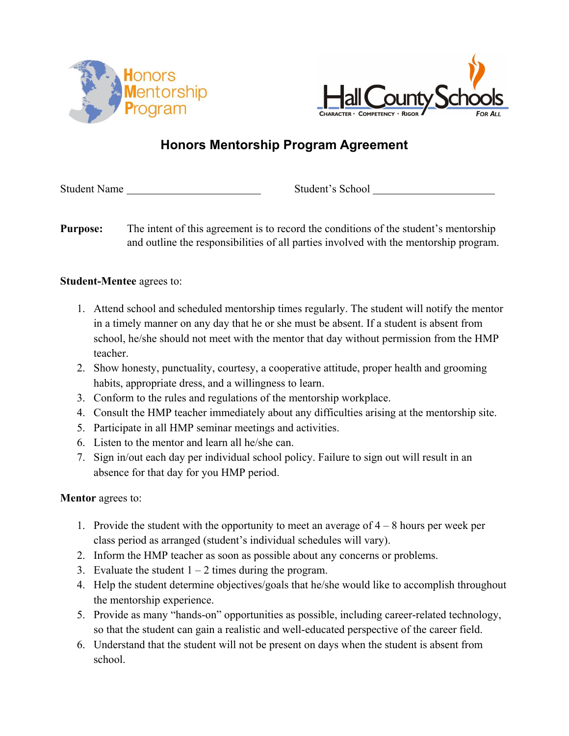



# **Honors Mentorship Program Agreement**

Student Name Student's School

**Purpose:** The intent of this agreement is to record the conditions of the student's mentorship and outline the responsibilities of all parties involved with the mentorship program.

## **Student-Mentee** agrees to:

- 1. Attend school and scheduled mentorship times regularly. The student will notify the mentor in a timely manner on any day that he or she must be absent. If a student is absent from school, he/she should not meet with the mentor that day without permission from the HMP teacher.
- 2. Show honesty, punctuality, courtesy, a cooperative attitude, proper health and grooming habits, appropriate dress, and a willingness to learn.
- 3. Conform to the rules and regulations of the mentorship workplace.
- 4. Consult the HMP teacher immediately about any difficulties arising at the mentorship site.
- 5. Participate in all HMP seminar meetings and activities.
- 6. Listen to the mentor and learn all he/she can.
- 7. Sign in/out each day per individual school policy. Failure to sign out will result in an absence for that day for you HMP period.

## **Mentor** agrees to:

- 1. Provide the student with the opportunity to meet an average of  $4 8$  hours per week per class period as arranged (student's individual schedules will vary).
- 2. Inform the HMP teacher as soon as possible about any concerns or problems.
- 3. Evaluate the student  $1 2$  times during the program.
- 4. Help the student determine objectives/goals that he/she would like to accomplish throughout the mentorship experience.
- 5. Provide as many "hands-on" opportunities as possible, including career-related technology, so that the student can gain a realistic and well-educated perspective of the career field.
- 6. Understand that the student will not be present on days when the student is absent from school.